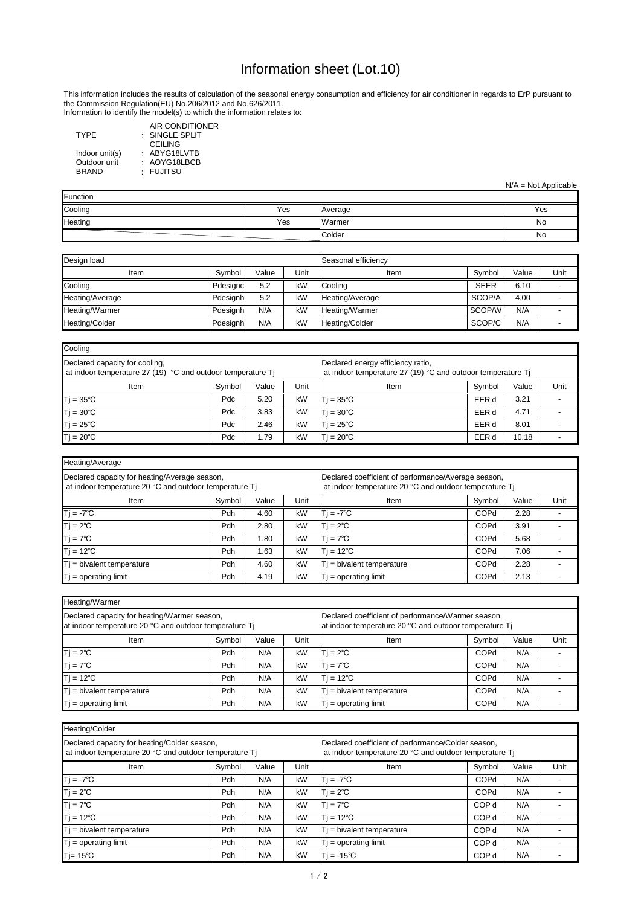Information to identify the model(s) to which the information relates to:

| <b>TYPE</b>    | AIR CONDITIONER<br>$:$ SINGLE SPLIT |
|----------------|-------------------------------------|
|                | <b>CEILING</b>                      |
| Indoor unit(s) | : ABYG18LVTB                        |
| Outdoor unit   | : AOYG18LBCB                        |
| <b>BRAND</b>   | · FUJITSU                           |

| Heating/Average                                                                                         |        |       |      |                                                                                                               |             |       |      |  |  |  |
|---------------------------------------------------------------------------------------------------------|--------|-------|------|---------------------------------------------------------------------------------------------------------------|-------------|-------|------|--|--|--|
| Declared capacity for heating/Average season,<br>at indoor temperature 20 °C and outdoor temperature Tj |        |       |      | Declared coefficient of performance/Average season,<br>at indoor temperature 20 °C and outdoor temperature Tj |             |       |      |  |  |  |
| Item                                                                                                    | Symbol | Value | Unit | <b>Item</b>                                                                                                   | Symbol      | Value | Unit |  |  |  |
| $Tj = -7^{\circ}C$                                                                                      | Pdh    | 4.60  | kW   | $T = -7^{\circ}C$                                                                                             | <b>COPd</b> | 2.28  |      |  |  |  |
| $Tj = 2^{\circ}C$                                                                                       | Pdh    | 2.80  | kW   | $T = 2^{\circ}C$                                                                                              | <b>COPd</b> | 3.91  |      |  |  |  |
| $Tj = 7^{\circ}C$                                                                                       | Pdh    | l.80  | kW   | $T = 7^{\circ}C$                                                                                              | <b>COPd</b> | 5.68  |      |  |  |  |
| $Tj = 12^{\circ}C$                                                                                      | Pdh    | l.63  | kW   | $T = 12^{\circ}C$                                                                                             | <b>COPd</b> | 7.06  |      |  |  |  |
| $T$ j = bivalent temperature                                                                            | Pdh    | 4.60  | kW   | $T_i$ = bivalent temperature                                                                                  | <b>COPd</b> | 2.28  |      |  |  |  |
| $Tj = operating limit$                                                                                  | Pdh    | 4.19  | kW   | $T_i$ = operating limit                                                                                       | <b>COPd</b> | 2.13  |      |  |  |  |

| Heating/Warmer                                                                                         |                                                                                                              |       |      |                              |             |       |      |  |  |
|--------------------------------------------------------------------------------------------------------|--------------------------------------------------------------------------------------------------------------|-------|------|------------------------------|-------------|-------|------|--|--|
| Declared capacity for heating/Warmer season,<br>at indoor temperature 20 °C and outdoor temperature Tj | Declared coefficient of performance/Warmer season,<br>at indoor temperature 20 °C and outdoor temperature Tj |       |      |                              |             |       |      |  |  |
| Item                                                                                                   | Symbol                                                                                                       | Value | Unit | Item                         | Symbol      | Value | Unit |  |  |
| $Tj = 2^{\circ}C$                                                                                      | Pdh                                                                                                          | N/A   | kW   | $T = 2^{\circ}C$             | <b>COPd</b> | N/A   |      |  |  |
| $Tj = 7^{\circ}C$                                                                                      | Pdh                                                                                                          | N/A   | kW   | $Ti = 7^{\circ}C$            | <b>COPd</b> | N/A   |      |  |  |
| $Tj = 12^{\circ}C$                                                                                     | Pdh                                                                                                          | N/A   | kW   | $T = 12^{\circ}C$            | <b>COPd</b> | N/A   |      |  |  |
| $Tj$ = bivalent temperature                                                                            | Pdh                                                                                                          | N/A   | kW   | $T$ j = bivalent temperature | <b>COPd</b> | N/A   |      |  |  |
| $Tj = operating limit$                                                                                 | Pdh                                                                                                          | N/A   | kW   | $T$ = operating limit        | <b>COPd</b> | N/A   |      |  |  |

| Design load     |          |       | Seasonal efficiency |                       |             |       |      |
|-----------------|----------|-------|---------------------|-----------------------|-------------|-------|------|
| Item            | Symbol   | Value | Unit                | Item                  | Symbol      | Value | Unit |
| Cooling         | Pdesignc | 5.2   | kW                  | <b>Cooling</b>        | <b>SEER</b> | 6.10  |      |
| Heating/Average | Pdesignh | 5.2   | kW                  | Heating/Average       | SCOP/A      | 4.00  |      |
| Heating/Warmer  | Pdesignh | N/A   | kW                  | Heating/Warmer        | SCOP/W      | N/A   |      |
| Heating/Colder  | Pdesignh | N/A   | kW                  | <b>Heating/Colder</b> | SCOP/C      | N/A   |      |

| Heating/Colder                                                                                         |        |       |      |                                                                                                              |                  |       |      |  |
|--------------------------------------------------------------------------------------------------------|--------|-------|------|--------------------------------------------------------------------------------------------------------------|------------------|-------|------|--|
| Declared capacity for heating/Colder season,<br>at indoor temperature 20 °C and outdoor temperature Tj |        |       |      | Declared coefficient of performance/Colder season,<br>at indoor temperature 20 °C and outdoor temperature Tj |                  |       |      |  |
| Item                                                                                                   | Symbol | Value | Unit | Item                                                                                                         | Symbol           | Value | Unit |  |
| $Ti = -7^{\circ}C$                                                                                     | Pdh    | N/A   | kW   | $Tj = -7^{\circ}C$                                                                                           | COPd             | N/A   |      |  |
| $T = 2^{\circ}C$                                                                                       | Pdh    | N/A   | kW   | $T = 2^{\circ}C$                                                                                             | <b>COPd</b>      | N/A   |      |  |
| $Tj = 7^{\circ}C$                                                                                      | Pdh    | N/A   | kW   | $Tj = 7^{\circ}C$                                                                                            | COP d            | N/A   |      |  |
| $Tj = 12^{\circ}C$                                                                                     | Pdh    | N/A   | kW   | $T$ j = 12°C                                                                                                 | COP <sub>d</sub> | N/A   |      |  |
| $Ti = bivalent temperature$                                                                            | Pdh    | N/A   | kW   | $T_i$ = bivalent temperature                                                                                 | COP d            | N/A   |      |  |
| $Tj = operating limit$                                                                                 | Pdh    | N/A   | kW   | $T$ = operating limit                                                                                        | COP d            | N/A   |      |  |
| 'Tj=-15℃                                                                                               | Pdh    | N/A   | kW   | $T = -15^{\circ}C$                                                                                           | COP d            | N/A   |      |  |

| Cooling                                                                                                 |        |       |      |                                                                                                  |        |       |      |
|---------------------------------------------------------------------------------------------------------|--------|-------|------|--------------------------------------------------------------------------------------------------|--------|-------|------|
| Declared capacity for cooling,<br>at indoor temperature 27 (19) $^{\circ}$ C and outdoor temperature Tj |        |       |      | Declared energy efficiency ratio,<br>at indoor temperature 27 (19) °C and outdoor temperature Tj |        |       |      |
| Item                                                                                                    | Symbol | Value | Unit | <b>Item</b>                                                                                      | Symbol | Value | Unit |
| $Tj = 35^{\circ}C$                                                                                      | Pdc    | 5.20  | kW   | $T = 35^{\circ}C$                                                                                | EER d  | 3.21  |      |
| $Tj = 30^{\circ}C$                                                                                      | Pdc    | 3.83  | kW   | $T = 30^{\circ}C$                                                                                | EER d  | 4.71  |      |
| $Tj = 25^{\circ}C$                                                                                      | Pdc    | 2.46  | kW   | $T = 25^{\circ}C$                                                                                | EER d  | 8.01  |      |
| $Tj = 20^{\circ}C$                                                                                      | Pdc    | 1.79  | kW   | $T = 20^{\circ}C$                                                                                | EER d  | 10.18 |      |

| Function |     |         |     |  |  |
|----------|-----|---------|-----|--|--|
| Cooling  | Yes | Average | Yes |  |  |
| Heating  | Yes | Warmer  | No  |  |  |
|          |     | Colder  | No  |  |  |

## Information sheet (Lot.10)

N/A = Not Applicable

This information includes the results of calculation of the seasonal energy consumption and efficiency for air conditioner in regards to ErP pursuant to the Commission Regulation(EU) No.206/2012 and No.626/2011.